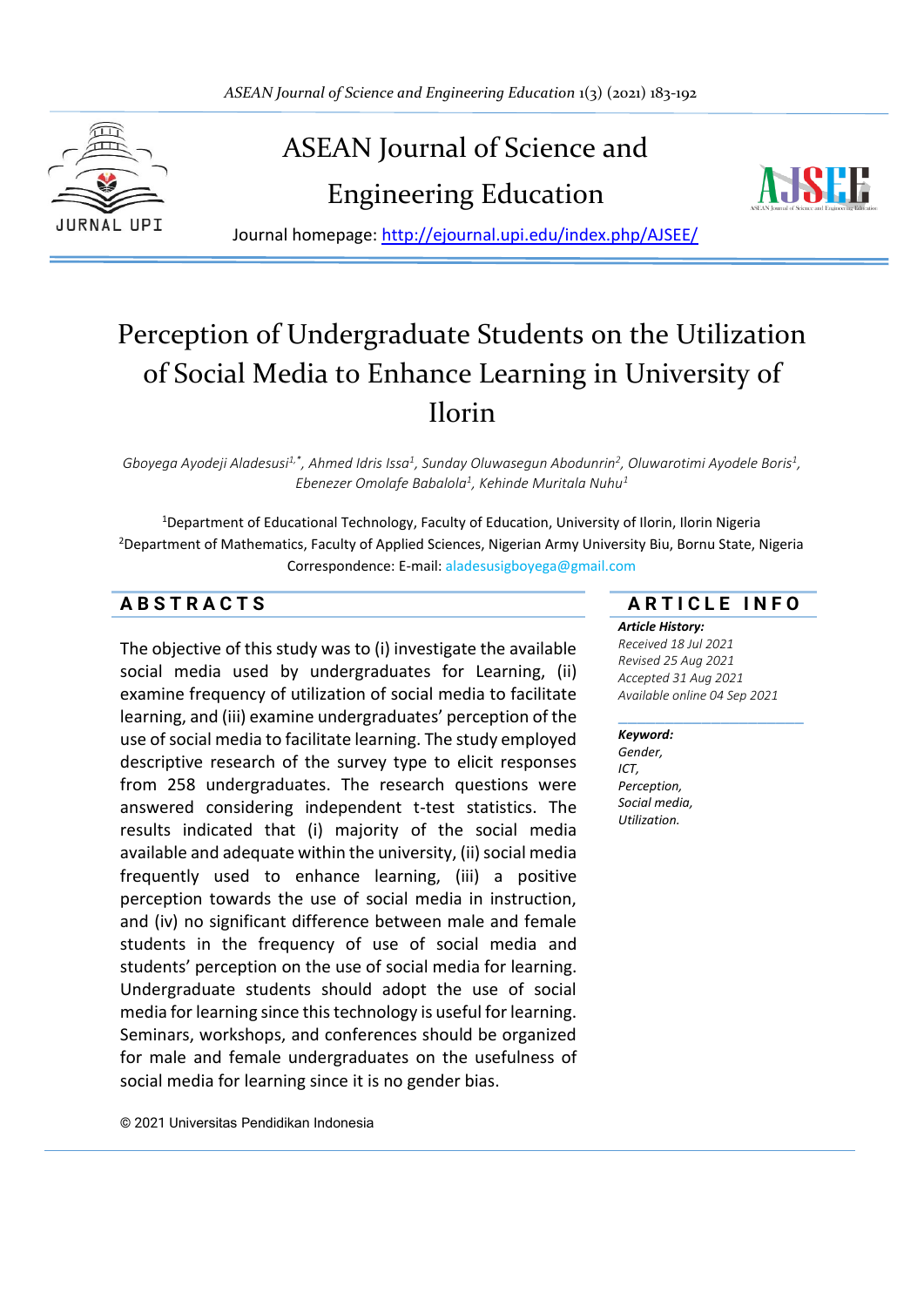

# ASEAN Journal of Science and

Engineering Education



Journal homepage:<http://ejournal.upi.edu/index.php/AJSEE/>

# Perception of Undergraduate Students on the Utilization of Social Media to Enhance Learning in University of Ilorin

Gboyega Ayodeji Aladesusi<sup>1,\*</sup>, Ahmed Idris Issa<sup>1</sup>, Sunday Oluwasegun Abodunrin<sup>2</sup>, Oluwarotimi Ayodele Boris<sup>1</sup>, *Ebenezer Omolafe Babalola<sup>1</sup> , Kehinde Muritala Nuhu<sup>1</sup>*

<sup>1</sup>Department of Educational Technology, Faculty of Education, University of Ilorin, Ilorin Nigeria <sup>2</sup>Department of Mathematics, Faculty of Applied Sciences, Nigerian Army University Biu, Bornu State, Nigeria Correspondence: E-mail: aladesusigboyega@gmail.com

The objective of this study was to (i) investigate the available social media used by undergraduates for Learning, (ii) examine frequency of utilization of social media to facilitate learning, and (iii) examine undergraduates' perception of the use of social media to facilitate learning. The study employed descriptive research of the survey type to elicit responses from 258 undergraduates. The research questions were answered considering independent t-test statistics. The results indicated that (i) majority of the social media available and adequate within the university, (ii) social media frequently used to enhance learning, (iii) a positive perception towards the use of social media in instruction, and (iv) no significant difference between male and female students in the frequency of use of social media and students' perception on the use of social media for learning. Undergraduate students should adopt the use of social media for learning since this technology is useful for learning. Seminars, workshops, and conferences should be organized for male and female undergraduates on the usefulness of social media for learning since it is no gender bias.

#### **A B S T R A C T S A R T I C L E I N F O**

# *Article History:*

*Received 18 Jul 2021 Revised 25 Aug 2021 Accepted 31 Aug 2021 Available online 04 Sep 2021*

#### \_\_\_\_\_\_\_\_\_\_\_\_\_\_\_\_\_\_\_\_ *Keyword:*

*Gender, ICT, Perception, Social media, Utilization.*

© 2021 Universitas Pendidikan Indonesia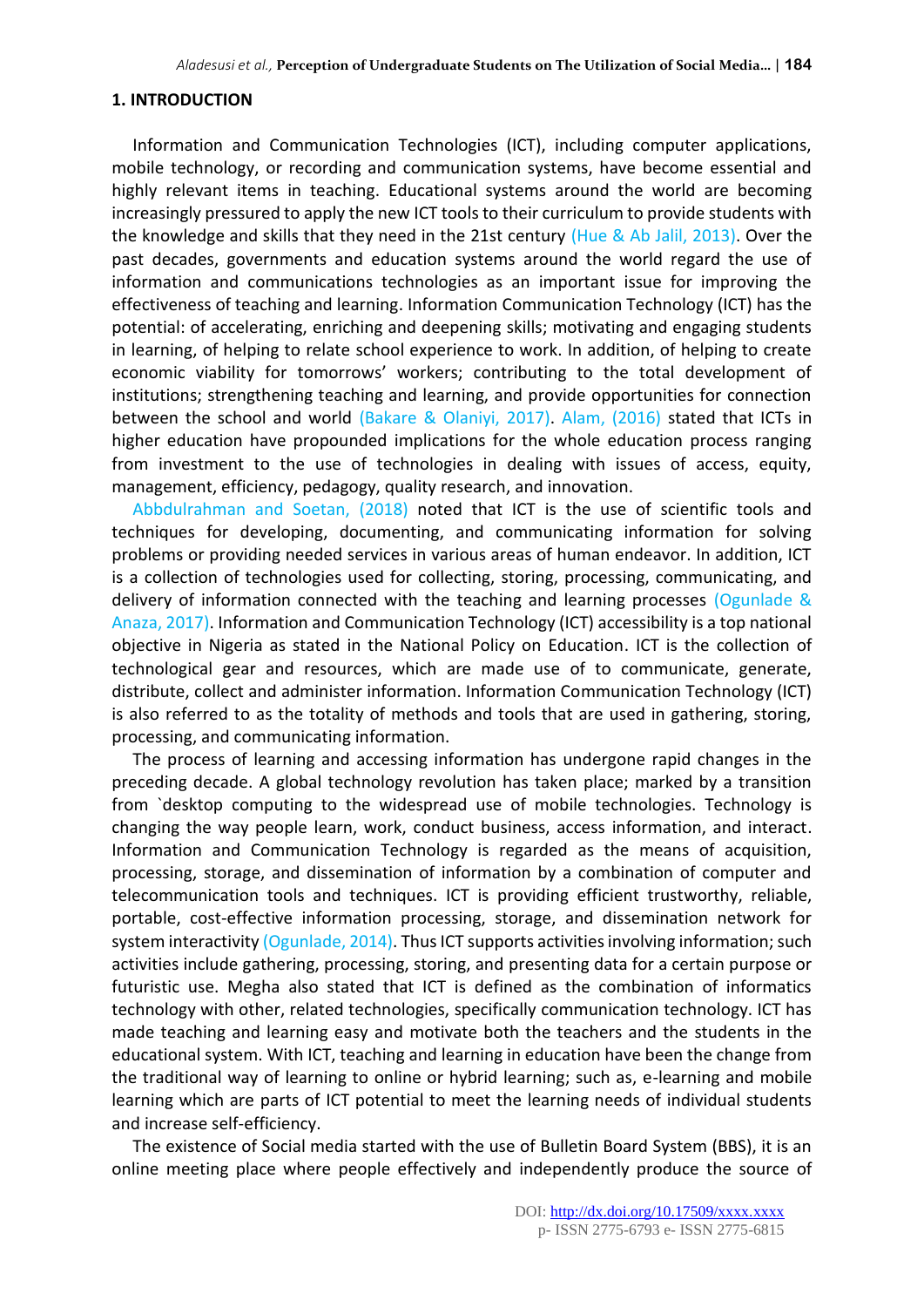#### **1. INTRODUCTION**

Information and Communication Technologies (ICT), including computer applications, mobile technology, or recording and communication systems, have become essential and highly relevant items in teaching. Educational systems around the world are becoming increasingly pressured to apply the new ICT tools to their curriculum to provide students with the knowledge and skills that they need in the 21st century (Hue & Ab Jalil, 2013). Over the past decades, governments and education systems around the world regard the use of information and communications technologies as an important issue for improving the effectiveness of teaching and learning. Information Communication Technology (ICT) has the potential: of accelerating, enriching and deepening skills; motivating and engaging students in learning, of helping to relate school experience to work. In addition, of helping to create economic viability for tomorrows' workers; contributing to the total development of institutions; strengthening teaching and learning, and provide opportunities for connection between the school and world (Bakare & Olaniyi, 2017). Alam, (2016) stated that ICTs in higher education have propounded implications for the whole education process ranging from investment to the use of technologies in dealing with issues of access, equity, management, efficiency, pedagogy, quality research, and innovation.

Abbdulrahman and Soetan, (2018) noted that ICT is the use of scientific tools and techniques for developing, documenting, and communicating information for solving problems or providing needed services in various areas of human endeavor. In addition, ICT is a collection of technologies used for collecting, storing, processing, communicating, and delivery of information connected with the teaching and learning processes (Ogunlade  $\&$ Anaza, 2017). Information and Communication Technology (ICT) accessibility is a top national objective in Nigeria as stated in the National Policy on Education. ICT is the collection of technological gear and resources, which are made use of to communicate, generate, distribute, collect and administer information. Information Communication Technology (ICT) is also referred to as the totality of methods and tools that are used in gathering, storing, processing, and communicating information.

The process of learning and accessing information has undergone rapid changes in the preceding decade. A global technology revolution has taken place; marked by a transition from `desktop computing to the widespread use of mobile technologies. Technology is changing the way people learn, work, conduct business, access information, and interact. Information and Communication Technology is regarded as the means of acquisition, processing, storage, and dissemination of information by a combination of computer and telecommunication tools and techniques. ICT is providing efficient trustworthy, reliable, portable, cost-effective information processing, storage, and dissemination network for system interactivity (Ogunlade, 2014). Thus ICT supports activities involving information; such activities include gathering, processing, storing, and presenting data for a certain purpose or futuristic use. Megha also stated that ICT is defined as the combination of informatics technology with other, related technologies, specifically communication technology. ICT has made teaching and learning easy and motivate both the teachers and the students in the educational system. With ICT, teaching and learning in education have been the change from the traditional way of learning to online or hybrid learning; such as, e-learning and mobile learning which are parts of ICT potential to meet the learning needs of individual students and increase self-efficiency.

The existence of Social media started with the use of Bulletin Board System (BBS), it is an online meeting place where people effectively and independently produce the source of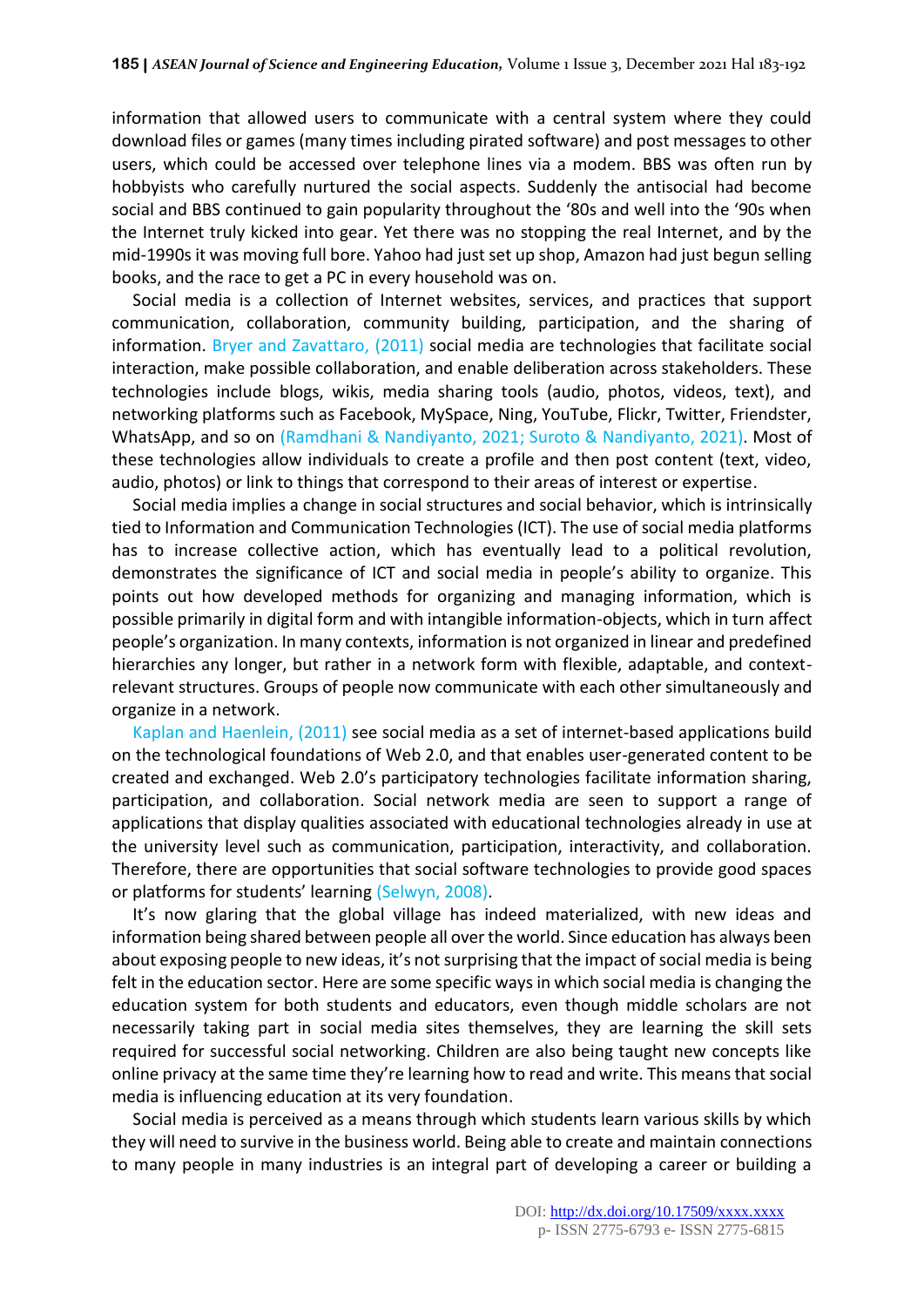information that allowed users to communicate with a central system where they could download files or games (many times including pirated software) and post messages to other users, which could be accessed over telephone lines via a modem. BBS was often run by hobbyists who carefully nurtured the social aspects. Suddenly the antisocial had become social and BBS continued to gain popularity throughout the '80s and well into the '90s when the Internet truly kicked into gear. Yet there was no stopping the real Internet, and by the mid-1990s it was moving full bore. Yahoo had just set up shop, Amazon had just begun selling books, and the race to get a PC in every household was on.

Social media is a collection of Internet websites, services, and practices that support communication, collaboration, community building, participation, and the sharing of information. Bryer and Zavattaro, (2011) social media are technologies that facilitate social interaction, make possible collaboration, and enable deliberation across stakeholders. These technologies include blogs, wikis, media sharing tools (audio, photos, videos, text), and networking platforms such as Facebook, MySpace, Ning, YouTube, Flickr, Twitter, Friendster, WhatsApp, and so on (Ramdhani & Nandiyanto, 2021; Suroto & Nandiyanto, 2021). Most of these technologies allow individuals to create a profile and then post content (text, video, audio, photos) or link to things that correspond to their areas of interest or expertise.

Social media implies a change in social structures and social behavior, which is intrinsically tied to Information and Communication Technologies (ICT). The use of social media platforms has to increase collective action, which has eventually lead to a political revolution, demonstrates the significance of ICT and social media in people's ability to organize. This points out how developed methods for organizing and managing information, which is possible primarily in digital form and with intangible information-objects, which in turn affect people's organization. In many contexts, information is not organized in linear and predefined hierarchies any longer, but rather in a network form with flexible, adaptable, and contextrelevant structures. Groups of people now communicate with each other simultaneously and organize in a network.

Kaplan and Haenlein, (2011) see social media as a set of internet-based applications build on the technological foundations of Web 2.0, and that enables user-generated content to be created and exchanged. Web 2.0's participatory technologies facilitate information sharing, participation, and collaboration. Social network media are seen to support a range of applications that display qualities associated with educational technologies already in use at the university level such as communication, participation, interactivity, and collaboration. Therefore, there are opportunities that social software technologies to provide good spaces or platforms for students' learning (Selwyn, 2008).

It's now glaring that the global village has indeed materialized, with new ideas and information being shared between people all over the world. Since education has always been about exposing people to new ideas, it's not surprising that the impact of social media is being felt in the education sector. Here are some specific ways in which social media is changing the education system for both students and educators, even though middle scholars are not necessarily taking part in social media sites themselves, they are learning the skill sets required for successful social networking. Children are also being taught new concepts like online privacy at the same time they're learning how to read and write. This means that social media is influencing education at its very foundation.

Social media is perceived as a means through which students learn various skills by which they will need to survive in the business world. Being able to create and maintain connections to many people in many industries is an integral part of developing a career or building a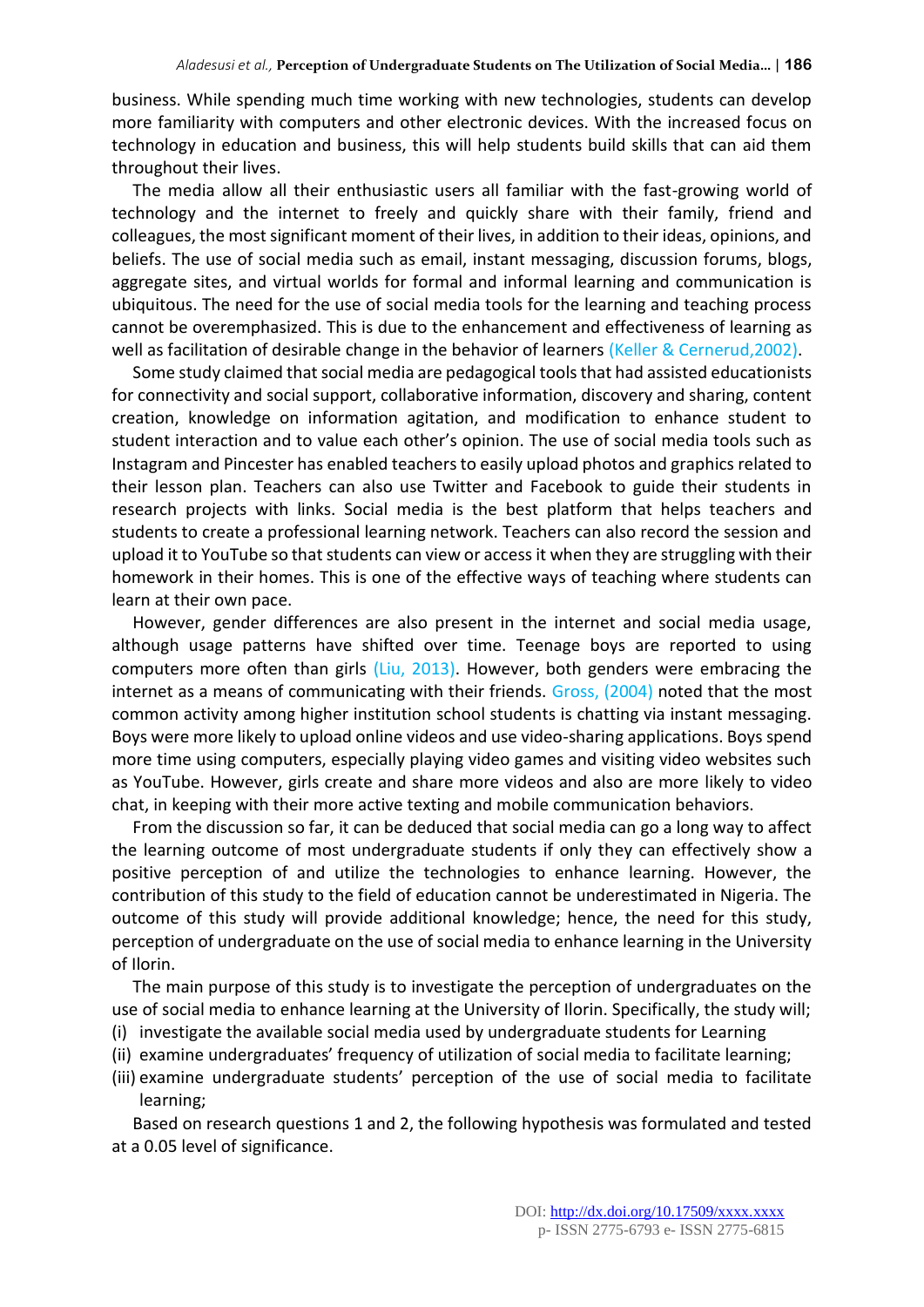business. While spending much time working with new technologies, students can develop more familiarity with computers and other electronic devices. With the increased focus on technology in education and business, this will help students build skills that can aid them throughout their lives.

The media allow all their enthusiastic users all familiar with the fast-growing world of technology and the internet to freely and quickly share with their family, friend and colleagues, the most significant moment of their lives, in addition to their ideas, opinions, and beliefs. The use of social media such as email, instant messaging, discussion forums, blogs, aggregate sites, and virtual worlds for formal and informal learning and communication is ubiquitous. The need for the use of social media tools for the learning and teaching process cannot be overemphasized. This is due to the enhancement and effectiveness of learning as well as facilitation of desirable change in the behavior of learners (Keller & Cernerud,2002).

Some study claimed that social media are pedagogical tools that had assisted educationists for connectivity and social support, collaborative information, discovery and sharing, content creation, knowledge on information agitation, and modification to enhance student to student interaction and to value each other's opinion. The use of social media tools such as Instagram and Pincester has enabled teachers to easily upload photos and graphics related to their lesson plan. Teachers can also use Twitter and Facebook to guide their students in research projects with links. Social media is the best platform that helps teachers and students to create a professional learning network. Teachers can also record the session and upload it to YouTube so that students can view or access it when they are struggling with their homework in their homes. This is one of the effective ways of teaching where students can learn at their own pace.

However, gender differences are also present in the internet and social media usage, although usage patterns have shifted over time. Teenage boys are reported to using computers more often than girls (Liu, 2013). However, both genders were embracing the internet as a means of communicating with their friends. Gross, (2004) noted that the most common activity among higher institution school students is chatting via instant messaging. Boys were more likely to upload online videos and use video-sharing applications. Boys spend more time using computers, especially playing video games and visiting video websites such as YouTube. However, girls create and share more videos and also are more likely to video chat, in keeping with their more active texting and mobile communication behaviors.

From the discussion so far, it can be deduced that social media can go a long way to affect the learning outcome of most undergraduate students if only they can effectively show a positive perception of and utilize the technologies to enhance learning. However, the contribution of this study to the field of education cannot be underestimated in Nigeria. The outcome of this study will provide additional knowledge; hence, the need for this study, perception of undergraduate on the use of social media to enhance learning in the University of Ilorin.

The main purpose of this study is to investigate the perception of undergraduates on the use of social media to enhance learning at the University of Ilorin. Specifically, the study will;

- (i) investigate the available social media used by undergraduate students for Learning
- (ii) examine undergraduates' frequency of utilization of social media to facilitate learning; (iii) examine undergraduate students' perception of the use of social media to facilitate learning;

Based on research questions 1 and 2, the following hypothesis was formulated and tested at a 0.05 level of significance.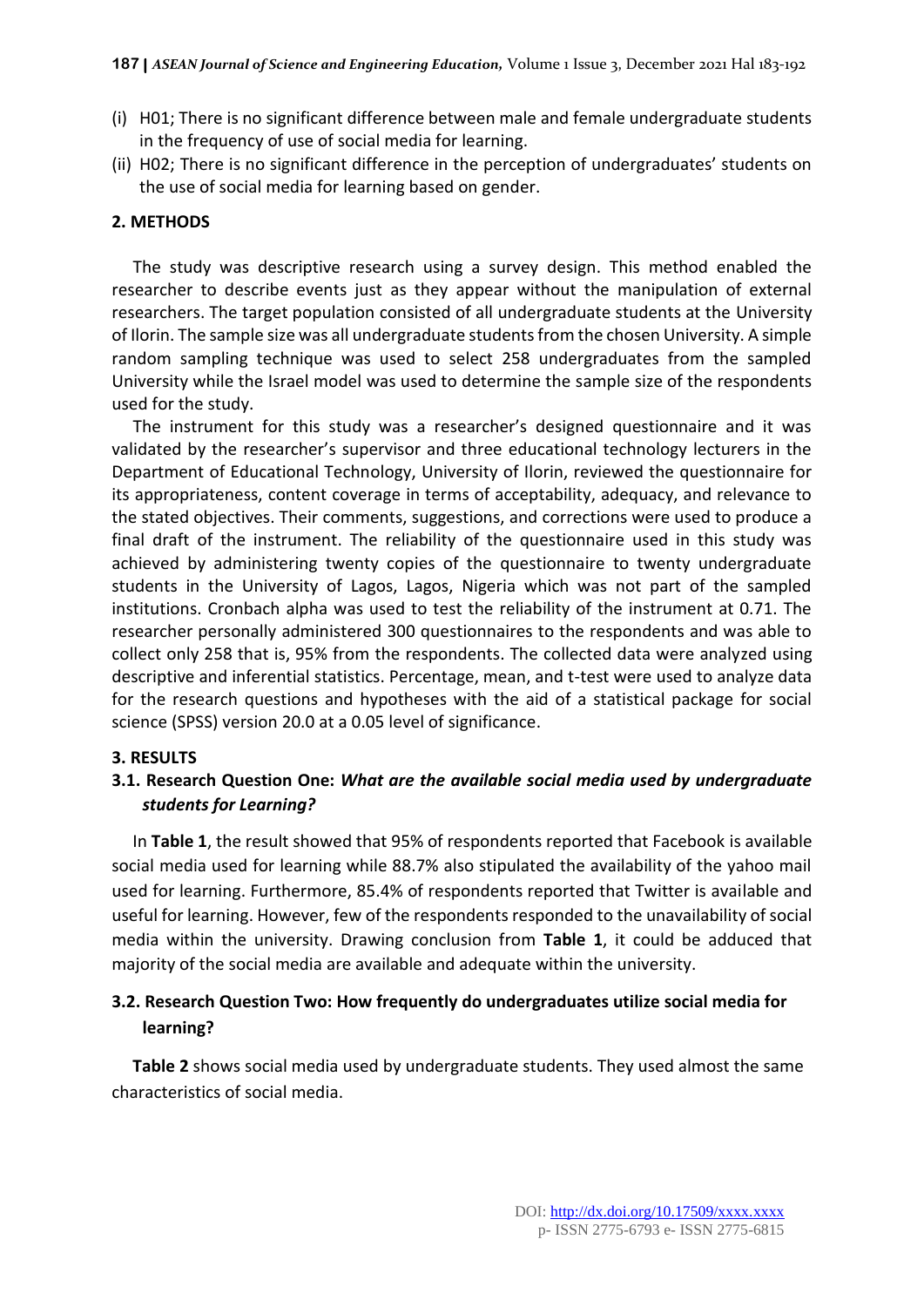- (i) H01; There is no significant difference between male and female undergraduate students in the frequency of use of social media for learning.
- (ii) H02; There is no significant difference in the perception of undergraduates' students on the use of social media for learning based on gender.

#### **2. METHODS**

The study was descriptive research using a survey design. This method enabled the researcher to describe events just as they appear without the manipulation of external researchers. The target population consisted of all undergraduate students at the University of Ilorin. The sample size was all undergraduate students from the chosen University. A simple random sampling technique was used to select 258 undergraduates from the sampled University while the Israel model was used to determine the sample size of the respondents used for the study.

The instrument for this study was a researcher's designed questionnaire and it was validated by the researcher's supervisor and three educational technology lecturers in the Department of Educational Technology, University of Ilorin, reviewed the questionnaire for its appropriateness, content coverage in terms of acceptability, adequacy, and relevance to the stated objectives. Their comments, suggestions, and corrections were used to produce a final draft of the instrument. The reliability of the questionnaire used in this study was achieved by administering twenty copies of the questionnaire to twenty undergraduate students in the University of Lagos, Lagos, Nigeria which was not part of the sampled institutions. Cronbach alpha was used to test the reliability of the instrument at 0.71. The researcher personally administered 300 questionnaires to the respondents and was able to collect only 258 that is, 95% from the respondents. The collected data were analyzed using descriptive and inferential statistics. Percentage, mean, and t-test were used to analyze data for the research questions and hypotheses with the aid of a statistical package for social science (SPSS) version 20.0 at a 0.05 level of significance.

#### **3. RESULTS**

# **3.1. Research Question One:** *What are the available social media used by undergraduate students for Learning?*

In **Table 1**, the result showed that 95% of respondents reported that Facebook is available social media used for learning while 88.7% also stipulated the availability of the yahoo mail used for learning. Furthermore, 85.4% of respondents reported that Twitter is available and useful for learning. However, few of the respondents responded to the unavailability of social media within the university. Drawing conclusion from **Table 1**, it could be adduced that majority of the social media are available and adequate within the university.

# **3.2. Research Question Two: How frequently do undergraduates utilize social media for learning?**

**Table 2** shows social media used by undergraduate students. They used almost the same characteristics of social media.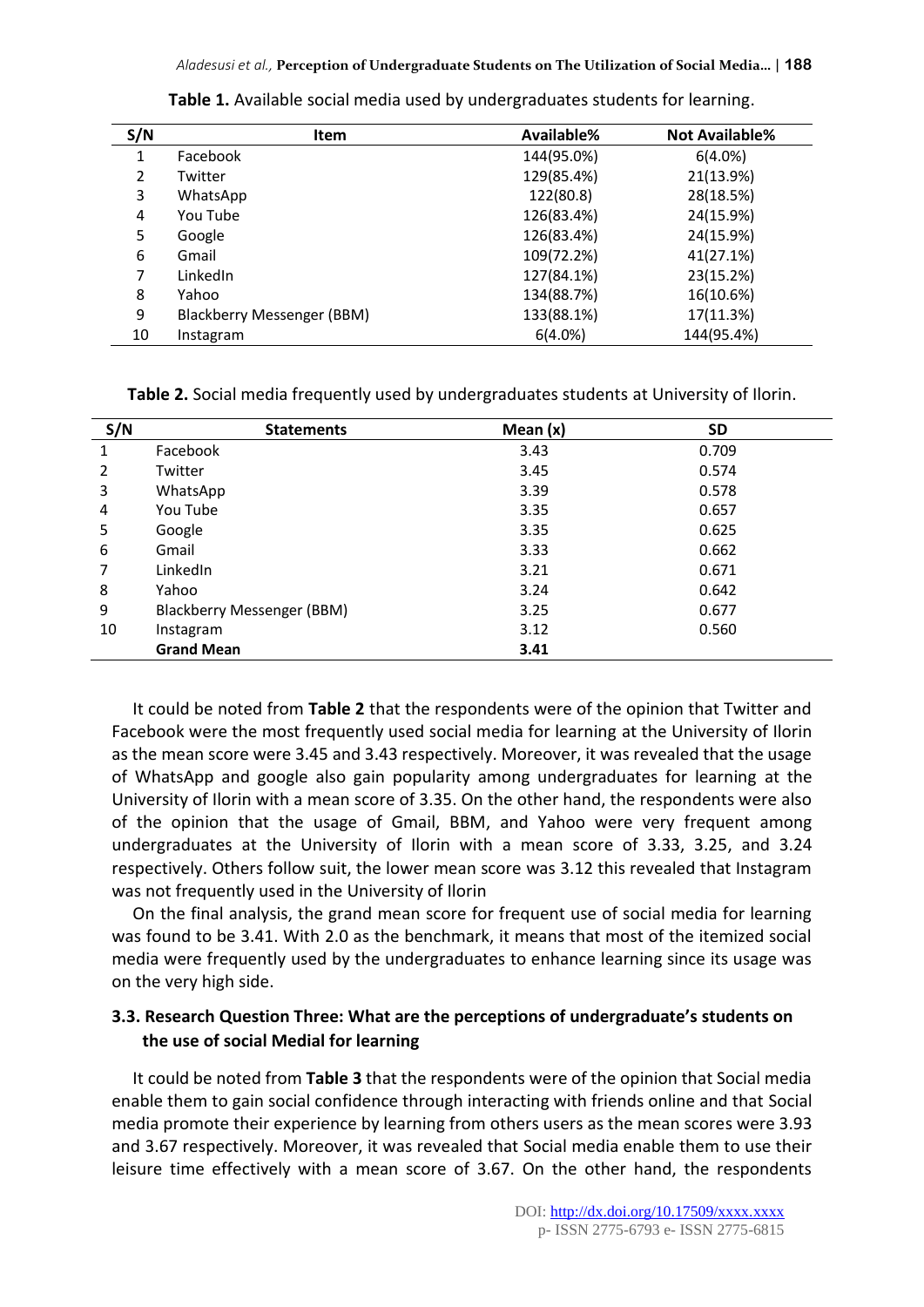| S/N | <b>Item</b>                | Available% | <b>Not Available%</b> |
|-----|----------------------------|------------|-----------------------|
| 1   | Facebook                   | 144(95.0%) | $6(4.0\%)$            |
| 2   | Twitter                    | 129(85.4%) | 21(13.9%)             |
| 3   | WhatsApp                   | 122(80.8)  | 28(18.5%)             |
| 4   | You Tube                   | 126(83.4%) | 24(15.9%)             |
| 5   | Google                     | 126(83.4%) | 24(15.9%)             |
| 6   | Gmail                      | 109(72.2%) | 41(27.1%)             |
| 7   | LinkedIn                   | 127(84.1%) | 23(15.2%)             |
| 8   | Yahoo                      | 134(88.7%) | 16(10.6%)             |
| 9   | Blackberry Messenger (BBM) | 133(88.1%) | 17(11.3%)             |
| 10  | Instagram                  | $6(4.0\%)$ | 144(95.4%)            |

**Table 1.** Available social media used by undergraduates students for learning.

**Table 2.** Social media frequently used by undergraduates students at University of Ilorin.

| S/N | <b>Statements</b>          | Mean $(x)$ | <b>SD</b> |  |
|-----|----------------------------|------------|-----------|--|
| 1   | Facebook                   | 3.43       | 0.709     |  |
| 2   | Twitter                    | 3.45       | 0.574     |  |
| 3   | WhatsApp                   | 3.39       | 0.578     |  |
| 4   | You Tube                   | 3.35       | 0.657     |  |
| 5   | Google                     | 3.35       | 0.625     |  |
| 6   | Gmail                      | 3.33       | 0.662     |  |
| 7   | LinkedIn                   | 3.21       | 0.671     |  |
| 8   | Yahoo                      | 3.24       | 0.642     |  |
| 9   | Blackberry Messenger (BBM) | 3.25       | 0.677     |  |
| 10  | Instagram                  | 3.12       | 0.560     |  |
|     | <b>Grand Mean</b>          | 3.41       |           |  |

It could be noted from **Table 2** that the respondents were of the opinion that Twitter and Facebook were the most frequently used social media for learning at the University of Ilorin as the mean score were 3.45 and 3.43 respectively. Moreover, it was revealed that the usage of WhatsApp and google also gain popularity among undergraduates for learning at the University of Ilorin with a mean score of 3.35. On the other hand, the respondents were also of the opinion that the usage of Gmail, BBM, and Yahoo were very frequent among undergraduates at the University of Ilorin with a mean score of 3.33, 3.25, and 3.24 respectively. Others follow suit, the lower mean score was 3.12 this revealed that Instagram was not frequently used in the University of Ilorin

On the final analysis, the grand mean score for frequent use of social media for learning was found to be 3.41. With 2.0 as the benchmark, it means that most of the itemized social media were frequently used by the undergraduates to enhance learning since its usage was on the very high side.

# **3.3. Research Question Three: What are the perceptions of undergraduate's students on the use of social Medial for learning**

It could be noted from **Table 3** that the respondents were of the opinion that Social media enable them to gain social confidence through interacting with friends online and that Social media promote their experience by learning from others users as the mean scores were 3.93 and 3.67 respectively. Moreover, it was revealed that Social media enable them to use their leisure time effectively with a mean score of 3.67. On the other hand, the respondents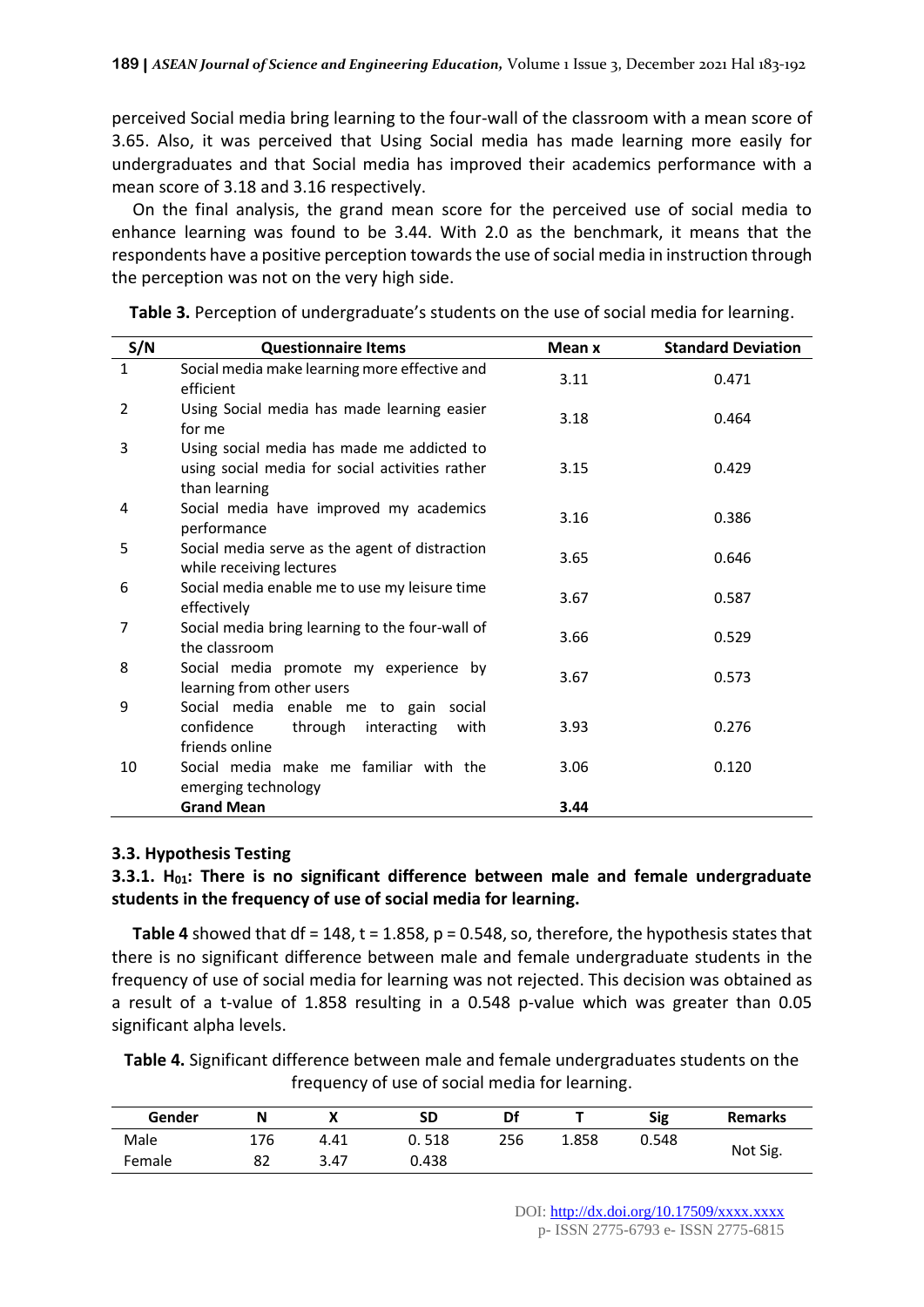perceived Social media bring learning to the four-wall of the classroom with a mean score of 3.65. Also, it was perceived that Using Social media has made learning more easily for undergraduates and that Social media has improved their academics performance with a mean score of 3.18 and 3.16 respectively.

On the final analysis, the grand mean score for the perceived use of social media to enhance learning was found to be 3.44. With 2.0 as the benchmark, it means that the respondents have a positive perception towards the use of social media in instruction through the perception was not on the very high side.

| S/N | <b>Questionnaire Items</b>                                                                                     | Mean x | <b>Standard Deviation</b> |
|-----|----------------------------------------------------------------------------------------------------------------|--------|---------------------------|
| 1   | Social media make learning more effective and<br>efficient                                                     | 3.11   | 0.471                     |
| 2   | Using Social media has made learning easier<br>for me                                                          | 3.18   | 0.464                     |
| 3   | Using social media has made me addicted to<br>using social media for social activities rather<br>than learning | 3.15   | 0.429                     |
| 4   | Social media have improved my academics<br>performance                                                         | 3.16   | 0.386                     |
| 5   | Social media serve as the agent of distraction<br>while receiving lectures                                     | 3.65   | 0.646                     |
| 6   | Social media enable me to use my leisure time<br>effectively                                                   | 3.67   | 0.587                     |
| 7   | Social media bring learning to the four-wall of<br>the classroom                                               | 3.66   | 0.529                     |
| 8   | Social media promote my experience by<br>learning from other users                                             | 3.67   | 0.573                     |
| 9   | Social media enable me to gain social<br>confidence<br>through interacting<br>with<br>friends online           | 3.93   | 0.276                     |
| 10  | Social media make me familiar with the<br>emerging technology                                                  | 3.06   | 0.120                     |
|     | <b>Grand Mean</b>                                                                                              | 3.44   |                           |

**Table 3.** Perception of undergraduate's students on the use of social media for learning.

#### **3.3. Hypothesis Testing**

### **3.3.1. H01: There is no significant difference between male and female undergraduate students in the frequency of use of social media for learning.**

**Table 4** showed that  $df = 148$ ,  $t = 1.858$ ,  $p = 0.548$ , so, therefore, the hypothesis states that there is no significant difference between male and female undergraduate students in the frequency of use of social media for learning was not rejected. This decision was obtained as a result of a t-value of 1.858 resulting in a 0.548 p-value which was greater than 0.05 significant alpha levels.

**Table 4.** Significant difference between male and female undergraduates students on the frequency of use of social media for learning.

| Gender | Ν   |      | SD    | Di  |       | Sig   | <b>Remarks</b> |  |
|--------|-----|------|-------|-----|-------|-------|----------------|--|
| Male   | 176 | 4.41 | 0.518 | 256 | ⊥.858 | 0.548 |                |  |
| Female | 82  | 3.47 | 0.438 |     |       |       | Not Sig.       |  |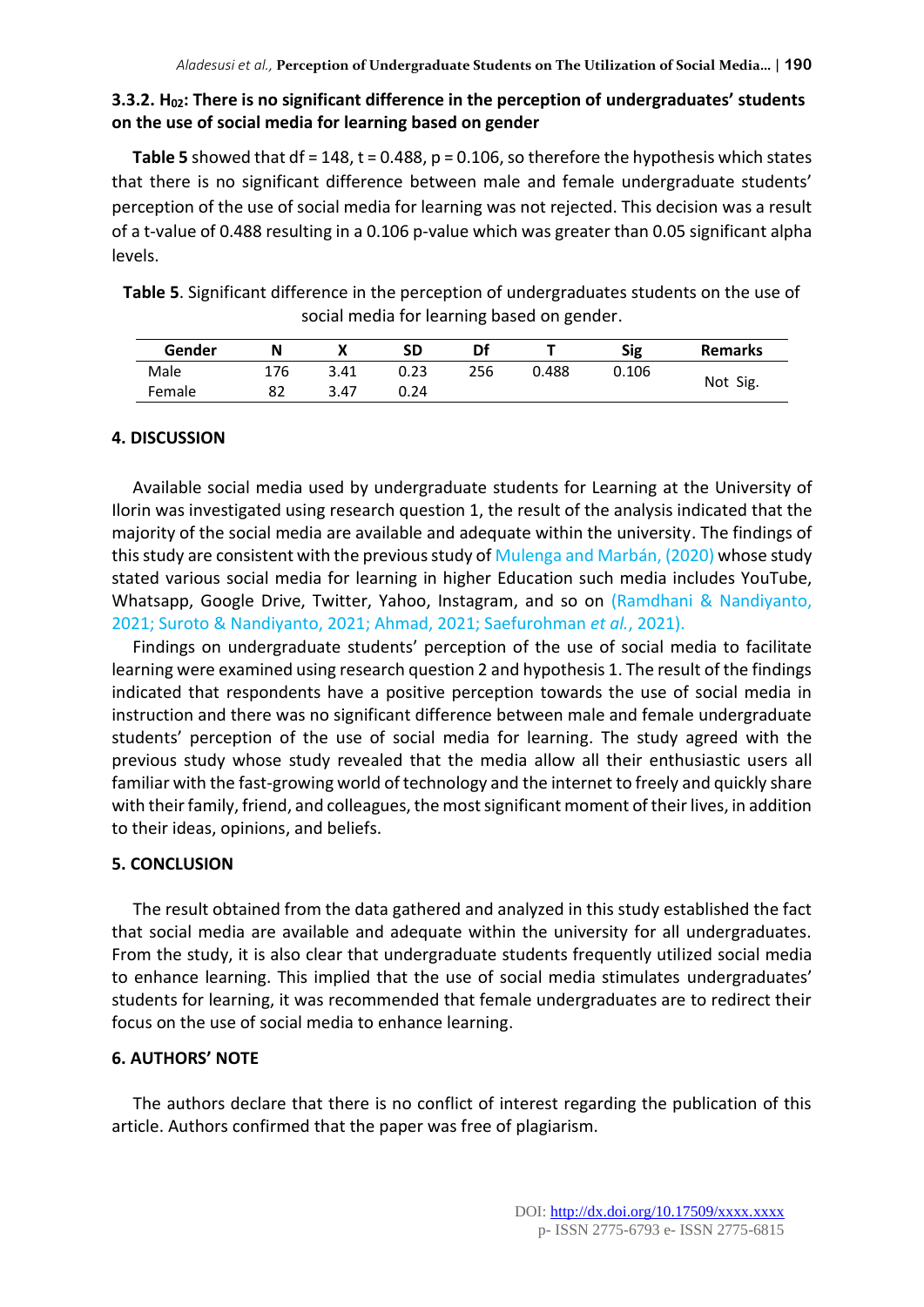## **3.3.2. H02: There is no significant difference in the perception of undergraduates' students on the use of social media for learning based on gender**

**Table 5** showed that df = 148, t = 0.488, p = 0.106, so therefore the hypothesis which states that there is no significant difference between male and female undergraduate students' perception of the use of social media for learning was not rejected. This decision was a result of a t-value of 0.488 resulting in a 0.106 p-value which was greater than 0.05 significant alpha levels.

**Table 5**. Significant difference in the perception of undergraduates students on the use of social media for learning based on gender.

| Gender | N   |      | SD   | Df  |       | Sig   | <b>Remarks</b> |
|--------|-----|------|------|-----|-------|-------|----------------|
| Male   | 176 | 3.41 | 0.23 | 256 | 0.488 | 0.106 | Not Sig.       |
| Female | ٥z  | 3.47 | 0.24 |     |       |       |                |

# **4. DISCUSSION**

Available social media used by undergraduate students for Learning at the University of Ilorin was investigated using research question 1, the result of the analysis indicated that the majority of the social media are available and adequate within the university. The findings of this study are consistent with the previous study of Mulenga and Marbán, (2020) whose study stated various social media for learning in higher Education such media includes YouTube, Whatsapp, Google Drive, Twitter, Yahoo, Instagram, and so on (Ramdhani & Nandiyanto, 2021; Suroto & Nandiyanto, 2021; Ahmad, 2021; Saefurohman *et al.*, 2021).

Findings on undergraduate students' perception of the use of social media to facilitate learning were examined using research question 2 and hypothesis 1. The result of the findings indicated that respondents have a positive perception towards the use of social media in instruction and there was no significant difference between male and female undergraduate students' perception of the use of social media for learning. The study agreed with the previous study whose study revealed that the media allow all their enthusiastic users all familiar with the fast-growing world of technology and the internet to freely and quickly share with their family, friend, and colleagues, the most significant moment of their lives, in addition to their ideas, opinions, and beliefs.

### **5. CONCLUSION**

The result obtained from the data gathered and analyzed in this study established the fact that social media are available and adequate within the university for all undergraduates. From the study, it is also clear that undergraduate students frequently utilized social media to enhance learning. This implied that the use of social media stimulates undergraduates' students for learning, it was recommended that female undergraduates are to redirect their focus on the use of social media to enhance learning.

### **6. AUTHORS' NOTE**

The authors declare that there is no conflict of interest regarding the publication of this article. Authors confirmed that the paper was free of plagiarism.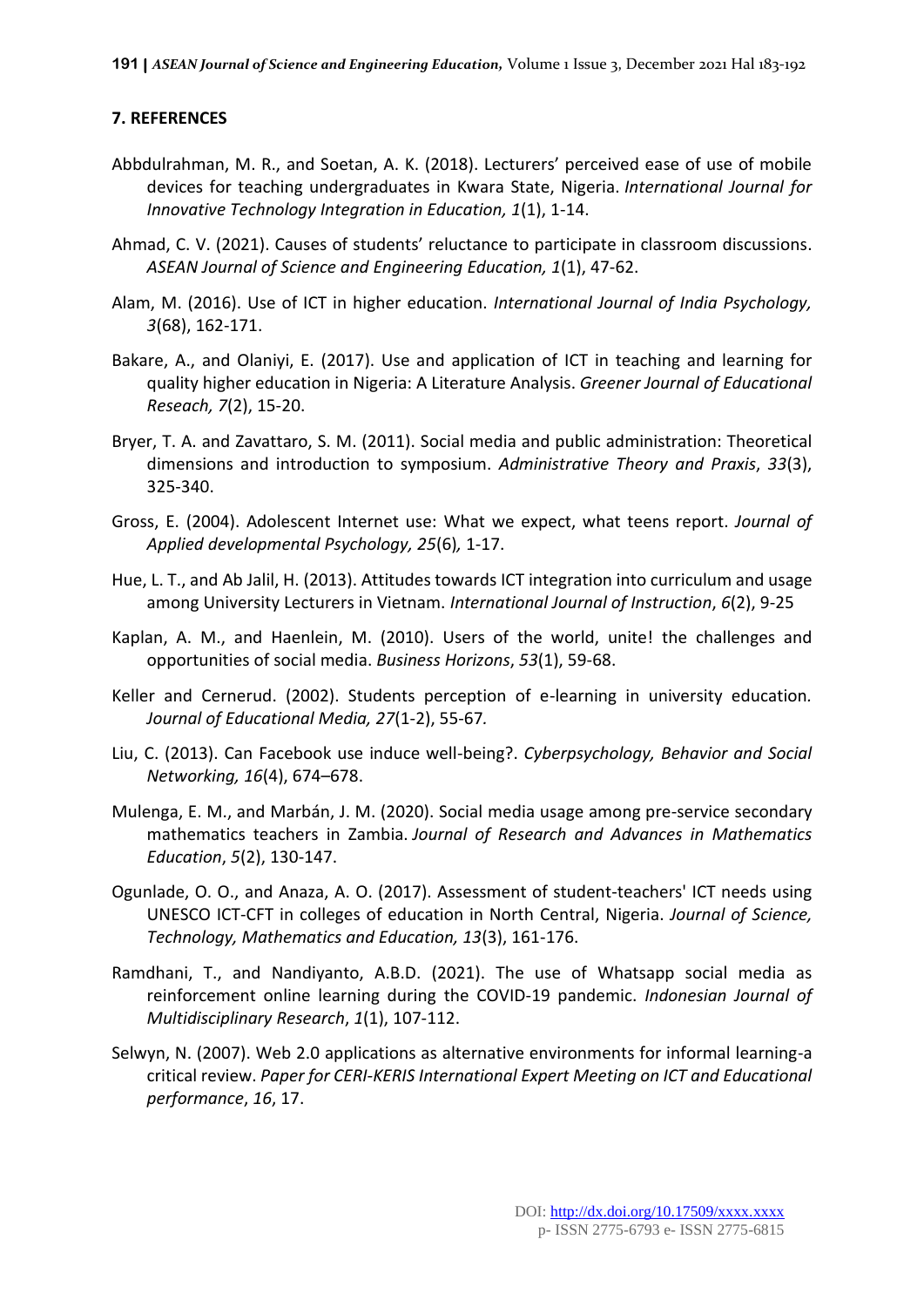#### **7. REFERENCES**

- Abbdulrahman, M. R., and Soetan, A. K. (2018). Lecturers' perceived ease of use of mobile devices for teaching undergraduates in Kwara State, Nigeria. *International Journal for Innovative Technology Integration in Education, 1*(1), 1-14.
- Ahmad, C. V. (2021). Causes of students' reluctance to participate in classroom discussions. *ASEAN Journal of Science and Engineering Education, 1*(1), 47-62.
- Alam, M. (2016). Use of ICT in higher education. *International Journal of India Psychology, 3*(68), 162-171.
- Bakare, A., and Olaniyi, E. (2017). Use and application of ICT in teaching and learning for quality higher education in Nigeria: A Literature Analysis. *Greener Journal of Educational Reseach, 7*(2), 15-20.
- Bryer, T. A. and Zavattaro, S. M. (2011). Social media and public administration: Theoretical dimensions and introduction to symposium. *Administrative Theory and Praxis*, *33*(3), 325-340.
- Gross, E. (2004). Adolescent Internet use: What we expect, what teens report. *Journal of Applied developmental Psychology, 25*(6)*,* 1-17.
- Hue, L. T., and Ab Jalil, H. (2013). Attitudes towards ICT integration into curriculum and usage among University Lecturers in Vietnam. *International Journal of Instruction*, *6*(2), 9-25
- Kaplan, A. M., and Haenlein, M. (2010). Users of the world, unite! the challenges and opportunities of social media. *Business Horizons*, *53*(1), 59-68.
- Keller and Cernerud. (2002). Students perception of e-learning in university education*. Journal of Educational Media, 27*(1-2), 55-67*.*
- Liu, C. (2013). Can Facebook use induce well-being?. *Cyberpsychology, Behavior and Social Networking, 16*(4), 674–678.
- Mulenga, E. M., and Marbán, J. M. (2020). Social media usage among pre-service secondary mathematics teachers in Zambia. *Journal of Research and Advances in Mathematics Education*, *5*(2), 130-147.
- Ogunlade, O. O., and Anaza, A. O. (2017). Assessment of student-teachers' ICT needs using UNESCO ICT-CFT in colleges of education in North Central, Nigeria. *Journal of Science, Technology, Mathematics and Education, 13*(3), 161-176.
- Ramdhani, T., and Nandiyanto, A.B.D. (2021). The use of Whatsapp social media as reinforcement online learning during the COVID-19 pandemic. *Indonesian Journal of Multidisciplinary Research*, *1*(1), 107-112.
- Selwyn, N. (2007). Web 2.0 applications as alternative environments for informal learning-a critical review. *Paper for CERI-KERIS International Expert Meeting on ICT and Educational performance*, *16*, 17.